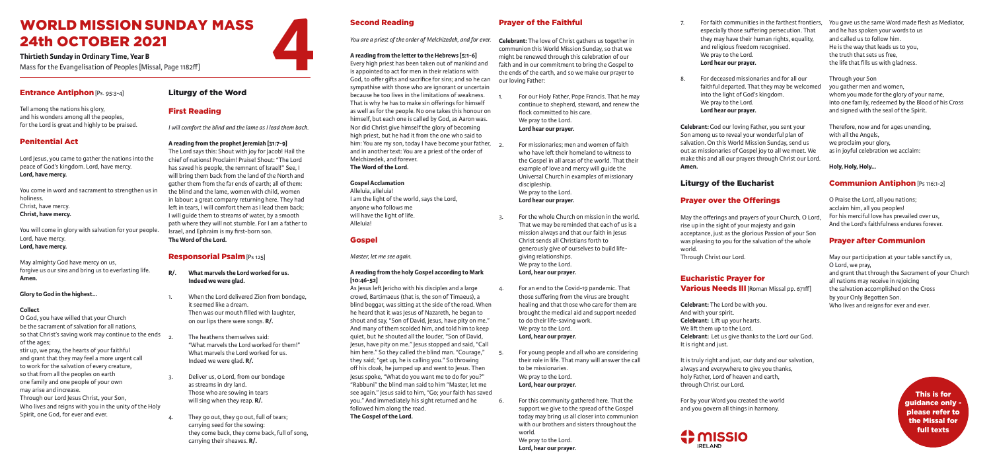# WORLD MISSION SUNDAY MASS **24th OCTOBER 2021 ORLD MISSION SUNDAY MASS<br>
th OCTOBER 2021**<br>
eth Sunday in Ordinary Time, Year B<br>
for the Evangelisation of Peoples [Missal, Page 1182ff]

**Thirtieth Sunday in Ordinary Time, Year B**  Mass for the Evangelisation of Peoples [Missal, Page 1182ff]

# **Entrance Antiphon** [Ps. 95:3-4]

Tell among the nations his glory, and his wonders among all the peoples, for the Lord is great and highly to be praised.

# Penitential Act

Lord Jesus, you came to gather the nations into the peace of God's kingdom. Lord, have mercy. **Lord, have mercy.**

You come in word and sacrament to strengthen us in holiness. Christ, have mercy. **Christ, have mercy.**

You will come in glory with salvation for your people. Lord, have mercy. **Lord, have mercy.**

Who lives and reigns with you in the unity of the Holy Spirit, one God, for ever and ever.

May almighty God have mercy on us, forgive us our sins and bring us to everlasting life. **Amen.**

#### **Glory to God in the highest…**

#### **Collect**

- O God, you have willed that your Church be the sacrament of salvation for all nations, so that Christ's saving work may continue to the ends  $\frac{1}{2}$ of the ages; stir up, we pray, the hearts of your faithful
- and grant that they may feel a more urgent call to work for the salvation of every creature, so that from all the peoples on earth one family and one people of your own
- may arise and increase.

Through our Lord Jesus Christ, your Son,

# Liturgy of the Word

# First Reading

*I will comfort the blind and the lame as I lead them back.* 

#### **A reading from the prophet Jeremiah [31:7-9]**

The Lord says this: Shout with joy for Jacob! Hail the chief of nations! Proclaim! Praise! Shout: "The Lord has saved his people, the remnant of Israel!'' See, I will bring them back from the land of the North and gather them from the far ends of earth; all of them: the blind and the lame, women with child, women in labour: a great company returning here. They had left in tears, I will comfort them as I lead them back; I will guide them to streams of water, by a smooth path where they will not stumble. For I am a father to Israel, and Ephraim is my first-born son. **The Word of the Lord.** 

# Responsorial Psalm[Ps 125]

- **R/. What marvels the Lord worked for us. Indeed we were glad.**
- 1. When the Lord delivered Zion from bondage, it seemed like a dream. Then was our mouth filled with laughter, on our lips there were songs. **R/.** 
	- The heathens themselves said: "What marvels the Lord worked for them!" What marvels the Lord worked for us. Indeed we were glad. **R/.**
- 3. Deliver us, 0 Lord, from our bondage as streams in dry land. Those who are sowing in tears will sing when they reap. **R/.**
- 4. They go out, they go out, full of tears; carrying seed for the sowing: they come back, they come back, full of song, carrying their sheaves. **R/.**

# Second Reading

*You are a priest of the order of Melchizedek, and for ever.*

# **A reading from the letter to the Hebrews [5:1-6]**

Every high priest has been taken out of mankind and is appointed to act for men in their relations with God, to offer gifts and sacrifice for sins; and so he can sympathise with those who are ignorant or uncertain because he too lives in the limitations of weakness. That is why he has to make sin offerings for himself as well as for the people. No one takes this honour on himself, but each one is called by God, as Aaron was. Nor did Christ give himself the glory of becoming high priest, but he had it from the one who said to him: You are my son, today I have become your father,  $\overline{2}$ and in another text: You are a priest of the order of Melchizedek, and forever. **The Word of the Lord.**

#### **Gospel Acclamation**

Alleluia, alleluia! I am the light of the world, says the Lord, anyone who follows me will have the light of life. Alleluia!

# **Gospel**

# Eucharistic Prayer for **Various Needs III** [Roman Missal pp. 671ff]

*Master, let me see again.*

#### **A reading from the holy Gospel according to Mark [10:46-52]**

As Jesus left Jericho with his disciples and a large crowd, Bartimaeus (that is, the son of Timaeus), a blind beggar, was sitting at the side of the road. When he heard that it was Jesus of Nazareth, he began to shout and say, "Son of David, Jesus, have pity on me." And many of them scolded him, and told him to keep quiet, but he shouted all the louder, "Son of David, Jesus, have pity on me." Jesus stopped and said, "Call him here." So they called the blind man. "Courage," they said; "get up, he is calling you." So throwing off his cloak, he jumped up and went to Jesus. Then Jesus spoke, "What do you want me to do for you?" "Rabbuni" the blind man said to him "Master, let me see again." Jesus said to him, "Go; your faith has saved you." And immediately his sight returned and he followed him along the road. **The Gospel of the Lord.**



# Prayer of the Faithful

**Celebrant:** The love of Christ gathers us together in communion this World Mission Sunday, so that we might be renewed through this celebration of our faith and in our commitment to bring the Gospel to the ends of the earth, and so we make our prayer to our loving Father:

- 1. For our Holy Father, Pope Francis. That he may continue to shepherd, steward, and renew the flock committed to his care. We pray to the Lord. **Lord hear our prayer.**
- 2. For missionaries; men and women of faith who have left their homeland to witness to the Gospel in all areas of the world. That their example of love and mercy will guide the Universal Church in examples of missionary discipleship. We pray to the Lord. **Lord hear our prayer.**
- 3. For the whole Church on mission in the world. That we may be reminded that each of us is a mission always and that our faith in Jesus Christ sends all Christians forth to generously give of ourselves to build lifegiving relationships. We pray to the Lord. **Lord, hear our prayer.**
- 4. For an end to the Covid-19 pandemic. That those suffering from the virus are brought healing and that those who care for them are brought the medical aid and support needed to do their life-saving work. We pray to the Lord. **Lord, hear our prayer.**
- 5. For young people and all who are considering their role in life. That many will answer the call to be missionaries. We pray to the Lord. **Lord, hear our prayer.**
- 6. For this community gathered here. That the support we give to the spread of the Gospel today may bring us all closer into communion with our brothers and sisters throughout the world.

We pray to the Lord. **Lord, hear our prayer.** 

- 7. For faith communities in the farthest frontiers, especially those suffering persecution. That they may have their human rights, equality, and religious freedom recognised. We pray to the Lord. **Lord hear our prayer.**
- 8. For deceased missionaries and for all our faithful departed. That they may be welcomed into the light of God's kingdom. We pray to the Lord. **Lord hear our prayer.**

**Celebrant:** God our loving Father, you sent your Son among us to reveal your wonderful plan of salvation. On this World Mission Sunday, send us out as missionaries of Gospel joy to all we meet. We make this and all our prayers through Christ our Lord. **Amen.**

#### Liturgy of the Eucharist

#### Prayer over the Offerings

May the offerings and prayers of your Church, O Lord, rise up in the sight of your majesty and gain acceptance, just as the glorious Passion of your Son was pleasing to you for the salvation of the whole world.

Through Christ our Lord.

**Celebrant:** The Lord be with you. And with your spirit. **Celebrant:** Lift up your hearts. We lift them up to the Lord. **Celebrant:** Let us give thanks to the Lord our God. It is right and just.

It is truly right and just, our duty and our salvation, always and everywhere to give you thanks, holy Father, Lord of heaven and earth, through Christ our Lord.

For by your Word you created the world and you govern all things in harmony.



You gave us the same Word made flesh as Mediator, and he has spoken your words to us and called us to follow him. He is the way that leads us to you, the truth that sets us free, the life that fills us with gladness.

Through your Son you gather men and women, whom you made for the glory of your name, into one family, redeemed by the Blood of his Cross and signed with the seal of the Spirit.

Therefore, now and for ages unending, with all the Angels, we proclaim your glory, as in joyful celebration we acclaim:

**Holy, Holy, Holy…**

#### **Communion Antiphon [Ps 116:1-2]**

O Praise the Lord, all you nations; acclaim him, all you peoples! For his merciful love has prevailed over us, And the Lord's faithfulness endures forever.

## Prayer after Communion

May our participation at your table sanctify us, O Lord, we pray, and grant that through the Sacrament of your Church all nations may receive in rejoicing the salvation accomplished on the Cross by your Only Begotten Son. Who lives and reigns for ever and ever.

> This is for guidance only please refer to the Missal for full texts